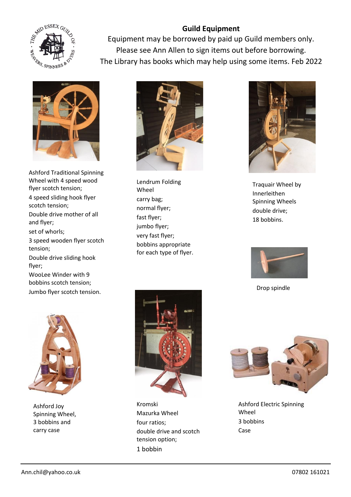

Equipment may be borrowed by paid up Guild members only. Please see Ann Allen to sign items out before borrowing. The Library has books which may help using some items. Feb 2022



Ashford Traditional Spinning Wheel with 4 speed wood flyer scotch tension; 4 speed sliding hook flyer scotch tension; Double drive mother of all and flyer; set of whorls; 3 speed wooden flyer scotch tension; Double drive sliding hook flyer; WooLee Winder with 9 bobbins scotch tension; Jumbo flyer scotch tension.



Lendrum Folding Wheel carry bag; normal flyer; fast flyer; jumbo flyer; very fast flyer; bobbins appropriate for each type of flyer.



Traquair Wheel by Innerleithen Spinning Wheels double drive; 18 bobbins.



Drop spindle



Ashford Joy Spinning Wheel, 3 bobbins and carry case



Kromski Mazurka Wheel four ratios; double drive and scotch tension option; 1 bobbin



Ashford Electric Spinning Wheel 3 bobbins Case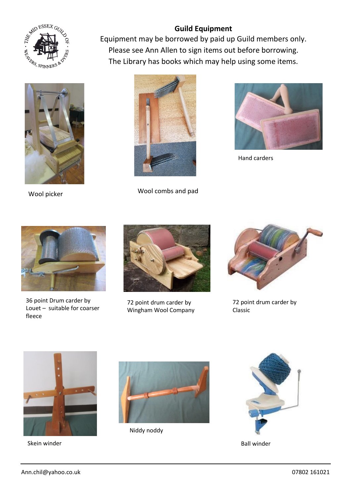



Equipment may be borrowed by paid up Guild members only. Please see Ann Allen to sign items out before borrowing. The Library has books which may help using some items.



Wool picker Mool combs and pad



Hand carders



36 point Drum carder by Louet – suitable for coarser fleece



72 point drum carder by Wingham Wool Company

![](_page_1_Picture_13.jpeg)

72 point drum carder by Classic

![](_page_1_Picture_15.jpeg)

Skein winder

![](_page_1_Picture_17.jpeg)

Niddy noddy

![](_page_1_Picture_19.jpeg)

Ball winder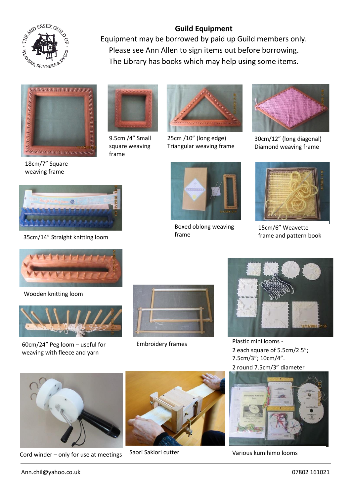![](_page_2_Picture_0.jpeg)

Equipment may be borrowed by paid up Guild members only. Please see Ann Allen to sign items out before borrowing. The Library has books which may help using some items.

![](_page_2_Picture_3.jpeg)

18cm/7" Square weaving frame

![](_page_2_Picture_5.jpeg)

9.5cm /4" Small square weaving frame  $L_1$  may  $L_2$  with using  $L_1$  may help with  $L_2$ 

![](_page_2_Picture_7.jpeg)

25cm /10" (long edge) Triangular weaving frame

![](_page_2_Picture_9.jpeg)

30cm/12" (long diagonal) Diamond weaving frame

![](_page_2_Picture_11.jpeg)

![](_page_2_Picture_13.jpeg)

![](_page_2_Picture_14.jpeg)

Boxed oblong weaving

![](_page_2_Picture_16.jpeg)

15cm/6" Weavette frame and pattern book

![](_page_2_Picture_18.jpeg)

Wooden knitting loom

![](_page_2_Picture_20.jpeg)

60cm/24" Peg loom – useful for weaving with fleece and yarn

![](_page_2_Picture_22.jpeg)

Embroidery frames

![](_page_2_Picture_24.jpeg)

Plastic mini looms - 2 each square of 5.5cm/2.5"; 7.5cm/3"; 10cm/4". 2 round 7.5cm/3" diameter

![](_page_2_Picture_26.jpeg)

Cord winder – only for use at meetings Saori Sakiori cutter **Cord Warious kumihimo looms** 

![](_page_2_Picture_28.jpeg)

Saori Sakiori cutter

![](_page_2_Picture_30.jpeg)